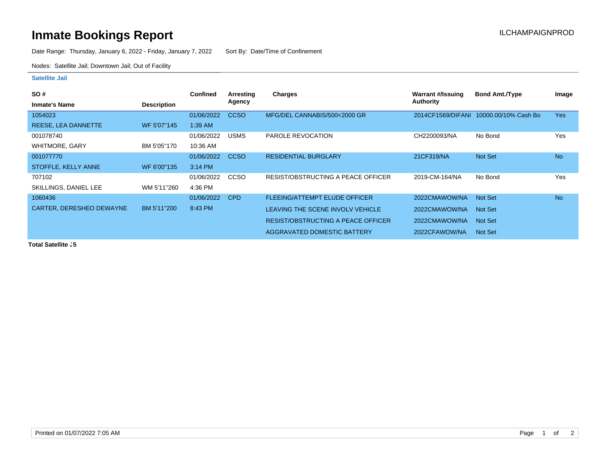## **Inmate Bookings Report Installation ILCHAMPAIGNPROD**

Date Range: Thursday, January 6, 2022 - Friday, January 7, 2022 Sort By: Date/Time of Confinement

Nodes: Satellite Jail; Downtown Jail; Out of Facility

## **Satellite Jail**

| <b>SO#</b>               |                    | <b>Confined</b> | Arresting   | <b>Charges</b>                            | Warrant #/Issuing | <b>Bond Amt./Type</b> | Image      |
|--------------------------|--------------------|-----------------|-------------|-------------------------------------------|-------------------|-----------------------|------------|
| <b>Inmate's Name</b>     | <b>Description</b> |                 | Agency      |                                           | <b>Authority</b>  |                       |            |
| 1054023                  |                    | 01/06/2022      | <b>CCSO</b> | MFG/DEL CANNABIS/500<2000 GR              | 2014CF1569/DIFANI | 10000.00/10% Cash Bo  | <b>Yes</b> |
| REESE, LEA DANNETTE      | WF 5'07"145        | 1:39 AM         |             |                                           |                   |                       |            |
| 001078740                |                    | 01/06/2022      | <b>USMS</b> | PAROLE REVOCATION                         | CH2200093/NA      | No Bond               | Yes        |
| <b>WHITMORE, GARY</b>    | BM 5'05"170        | 10:36 AM        |             |                                           |                   |                       |            |
| 001077770                |                    | 01/06/2022      | <b>CCSO</b> | <b>RESIDENTIAL BURGLARY</b>               | 21CF319/NA        | Not Set               | <b>No</b>  |
| STOFFLE, KELLY ANNE      | WF 6'00"135        | 3:14 PM         |             |                                           |                   |                       |            |
| 707102                   |                    | 01/06/2022      | <b>CCSO</b> | RESIST/OBSTRUCTING A PEACE OFFICER        | 2019-CM-164/NA    | No Bond               | Yes        |
| SKILLINGS, DANIEL LEE    | WM 5'11"260        | 4:36 PM         |             |                                           |                   |                       |            |
| 1060436                  |                    | 01/06/2022      | <b>CPD</b>  | <b>FLEEING/ATTEMPT ELUDE OFFICER</b>      | 2022CMAWOW/NA     | Not Set               | <b>No</b>  |
| CARTER, DERESHEO DEWAYNE | BM 5'11"200        | 8:43 PM         |             | LEAVING THE SCENE INVOLV VEHICLE          | 2022CMAWOW/NA     | Not Set               |            |
|                          |                    |                 |             | <b>RESIST/OBSTRUCTING A PEACE OFFICER</b> | 2022CMAWOW/NA     | Not Set               |            |
|                          |                    |                 |             | AGGRAVATED DOMESTIC BATTERY               | 2022CFAWOW/NA     | Not Set               |            |

**Total Satellite . 5**